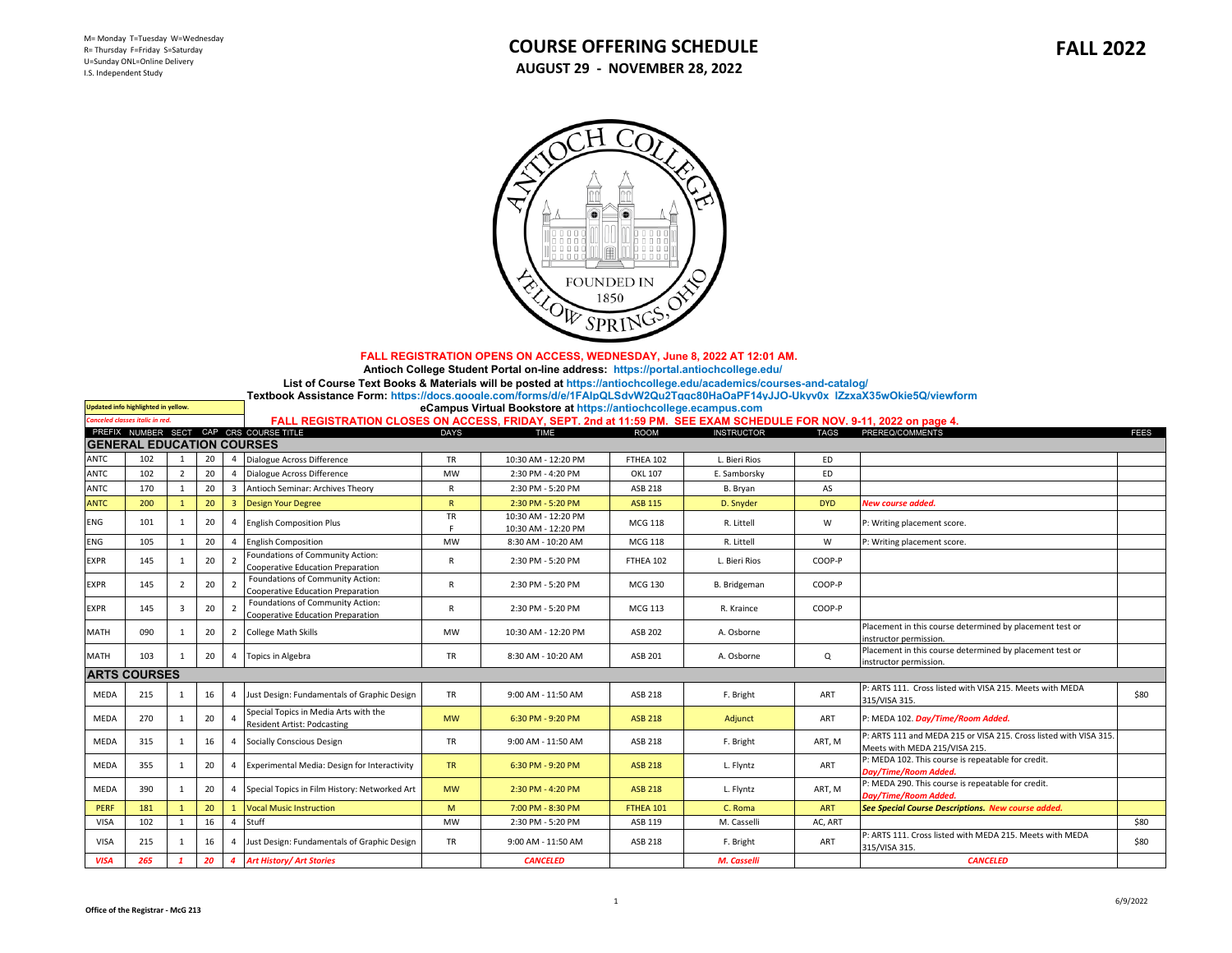

 **FALL REGISTRATION OPENS ON ACCESS, WEDNESDAY, June 8, 2022 AT 12:01 AM.** 

 **[Antioch College Student Portal on-line address: https://portal.antiochcollege.edu/](https://portal.antiochcollege.edu/)**

**[List of Course Text Books & Materials will be posted at https://antiochcollege.edu/academics/courses-and-catalog/](https://antiochcollege.edu/academics/courses-and-catalog/)**

**[Textbook Assistance Form: https://docs.google.com/forms/d/e/1FAIpQLSdvW2Qu2Tgqc80HaOaPF14yJJO-Ukyv0x lZzxaX35wOkie5Q/viewform](https://docs.google.com/forms/d/e/1FAIpQLSdvW2Qu2Tgqc80HaOaPF14yJJO-Ukyv0x_lZzxaX35wOkie5Q/viewform)**

**Updated info highlighted in yellow. [eCampus Virtual Bookstore at https://antiochcollege.ecampus.com](https://antiochcollege.ecampus.com/)**

| FALL REGISTRATION CLOSES ON ACCESS, FRIDAY, SEPT. 2nd at 11:59 PM. SEE EXAM SCHEDULE FOR NOV. 9-11, 2022 on page 4. |  |  |
|---------------------------------------------------------------------------------------------------------------------|--|--|
|---------------------------------------------------------------------------------------------------------------------|--|--|

| <b>Canceled classes italic in red.</b> |                                  |                |    |                         | FALL REGISTRATION CLOSES ON ACCESS, FRIDAY, SEPT. 2nd at 11:59 PM. SEE EXAM SCHEDULE FOR NOV. 9-11, 2022 on page 4. |              |                                            |                |                   |             |                                                                                                    |             |
|----------------------------------------|----------------------------------|----------------|----|-------------------------|---------------------------------------------------------------------------------------------------------------------|--------------|--------------------------------------------|----------------|-------------------|-------------|----------------------------------------------------------------------------------------------------|-------------|
|                                        |                                  |                |    |                         | PREFIX NUMBER SECT CAP CRS COURSE TITLE                                                                             | <b>DAYS</b>  | <b>TIME</b>                                | <b>ROOM</b>    | <b>INSTRUCTOR</b> | <b>TAGS</b> | PREREQ/COMMENTS                                                                                    | <b>FEES</b> |
|                                        | <b>GENERAL EDUCATION COURSES</b> |                |    |                         |                                                                                                                     |              |                                            |                |                   |             |                                                                                                    |             |
| ANTC                                   | 102                              |                | 20 | $\overline{a}$          | Dialogue Across Difference                                                                                          | <b>TR</b>    | 10:30 AM - 12:20 PM                        | FTHEA 102      | L. Bieri Rios     | <b>ED</b>   |                                                                                                    |             |
| ANTC                                   | 102                              |                | 20 |                         | Dialogue Across Difference                                                                                          | <b>MW</b>    | 2:30 PM - 4:20 PM                          | OKL 107        | E. Samborsky      | <b>ED</b>   |                                                                                                    |             |
| ANTC                                   | 170                              |                | 20 | $\overline{3}$          | Antioch Seminar: Archives Theory                                                                                    | R            | 2:30 PM - 5:20 PM                          | ASB 218        | B. Bryan          | AS          |                                                                                                    |             |
| <b>ANTC</b>                            | 200                              |                | 20 | $\overline{\mathbf{3}}$ | <b>Design Your Degree</b>                                                                                           | $\mathsf{R}$ | 2:30 PM - 5:20 PM                          | <b>ASB 115</b> | D. Snyder         | <b>DYD</b>  | New course added.                                                                                  |             |
| <b>ENG</b>                             | 101                              |                | 20 |                         | <b>English Composition Plus</b>                                                                                     | TR           | 10:30 AM - 12:20 PM<br>10:30 AM - 12:20 PM | <b>MCG 118</b> | R. Littell        | W           | P: Writing placement score.                                                                        |             |
| <b>ENG</b>                             | 105                              |                | 20 | $\overline{a}$          | <b>English Composition</b>                                                                                          | MW           | 8:30 AM - 10:20 AM                         | <b>MCG 118</b> | R. Littell        | W           | P: Writing placement score.                                                                        |             |
| <b>EXPR</b>                            | 145                              |                | 20 |                         | Foundations of Community Action:<br>Cooperative Education Preparation                                               | R            | 2:30 PM - 5:20 PM                          | FTHEA 102      | L. Bieri Rios     | COOP-P      |                                                                                                    |             |
| <b>EXPR</b>                            | 145                              | $\overline{2}$ | 20 | $\overline{2}$          | Foundations of Community Action:<br>Cooperative Education Preparation                                               | R            | 2:30 PM - 5:20 PM                          | MCG 130        | B. Bridgeman      | COOP-P      |                                                                                                    |             |
| <b>EXPR</b>                            | 145                              | 3              | 20 |                         | Foundations of Community Action:<br>Cooperative Education Preparation                                               | R            | 2:30 PM - 5:20 PM                          | MCG 113        | R. Kraince        | COOP-P      |                                                                                                    |             |
| <b>MATH</b>                            | 090                              |                | 20 |                         | 2 College Math Skills                                                                                               | MW           | 10:30 AM - 12:20 PM                        | ASB 202        | A. Osborne        |             | Placement in this course determined by placement test or<br>instructor permission.                 |             |
| <b>MATH</b>                            | 103                              |                | 20 |                         | 4 Topics in Algebra                                                                                                 | <b>TR</b>    | 8:30 AM - 10:20 AM                         | ASB 201        | A. Osborne        | Q           | Placement in this course determined by placement test or<br>instructor permission.                 |             |
|                                        | <b>ARTS COURSES</b>              |                |    |                         |                                                                                                                     |              |                                            |                |                   |             |                                                                                                    |             |
| MEDA                                   | 215                              |                | 16 |                         | Just Design: Fundamentals of Graphic Design                                                                         | <b>TR</b>    | 9:00 AM - 11:50 AM                         | ASB 218        | F. Bright         | ART         | P: ARTS 111. Cross listed with VISA 215. Meets with MEDA<br>315/VISA 315.                          | \$80        |
| MEDA                                   | 270                              |                | 20 |                         | Special Topics in Media Arts with the<br><b>Resident Artist: Podcasting</b>                                         | <b>MW</b>    | 6:30 PM - 9:20 PM                          | <b>ASB 218</b> | Adjunct           | ART         | P: MEDA 102. Day/Time/Room Added.                                                                  |             |
| MEDA                                   | 315                              |                | 16 |                         | Socially Conscious Design                                                                                           | <b>TR</b>    | 9:00 AM - 11:50 AM                         | ASB 218        | F. Bright         | ART. M      | P: ARTS 111 and MEDA 215 or VISA 215. Cross listed with VISA 315.<br>Meets with MEDA 215/VISA 215. |             |
| MEDA                                   | 355                              |                | 20 |                         | Experimental Media: Design for Interactivity                                                                        | <b>TR</b>    | 6:30 PM - 9:20 PM                          | <b>ASB 218</b> | L. Flyntz         | ART         | P: MEDA 102. This course is repeatable for credit.<br>Day/Time/Room Added.                         |             |
| MEDA                                   | 390                              |                | 20 |                         | Special Topics in Film History: Networked Art                                                                       | <b>MW</b>    | 2:30 PM - 4:20 PM                          | <b>ASB 218</b> | L. Flyntz         | ART, M      | P: MEDA 290. This course is repeatable for credit.<br>Day/Time/Room Added.                         |             |
| PERF                                   | 181                              |                | 20 |                         | <b>Vocal Music Instruction</b>                                                                                      | M            | 7:00 PM - 8:30 PM                          | FTHEA 101      | C. Roma           | <b>ART</b>  | See Special Course Descriptions. New course added.                                                 |             |
| <b>VISA</b>                            | 102                              |                | 16 | $\overline{4}$          | Stuff                                                                                                               | <b>MW</b>    | 2:30 PM - 5:20 PM                          | ASB 119        | M. Casselli       | AC, ART     |                                                                                                    | \$80        |
| <b>VISA</b>                            | 215                              |                | 16 | $\overline{4}$          | Just Design: Fundamentals of Graphic Design                                                                         | TR           | 9:00 AM - 11:50 AM                         | ASB 218        | F. Bright         | ART         | P: ARTS 111. Cross listed with MEDA 215. Meets with MEDA<br>315/VISA 315.                          | \$80        |
| <b>VISA</b>                            | 265                              |                | 20 |                         | 4 Art History/ Art Stories                                                                                          |              | <b>CANCELED</b>                            |                | M. Casselli       |             | <b>CANCELED</b>                                                                                    |             |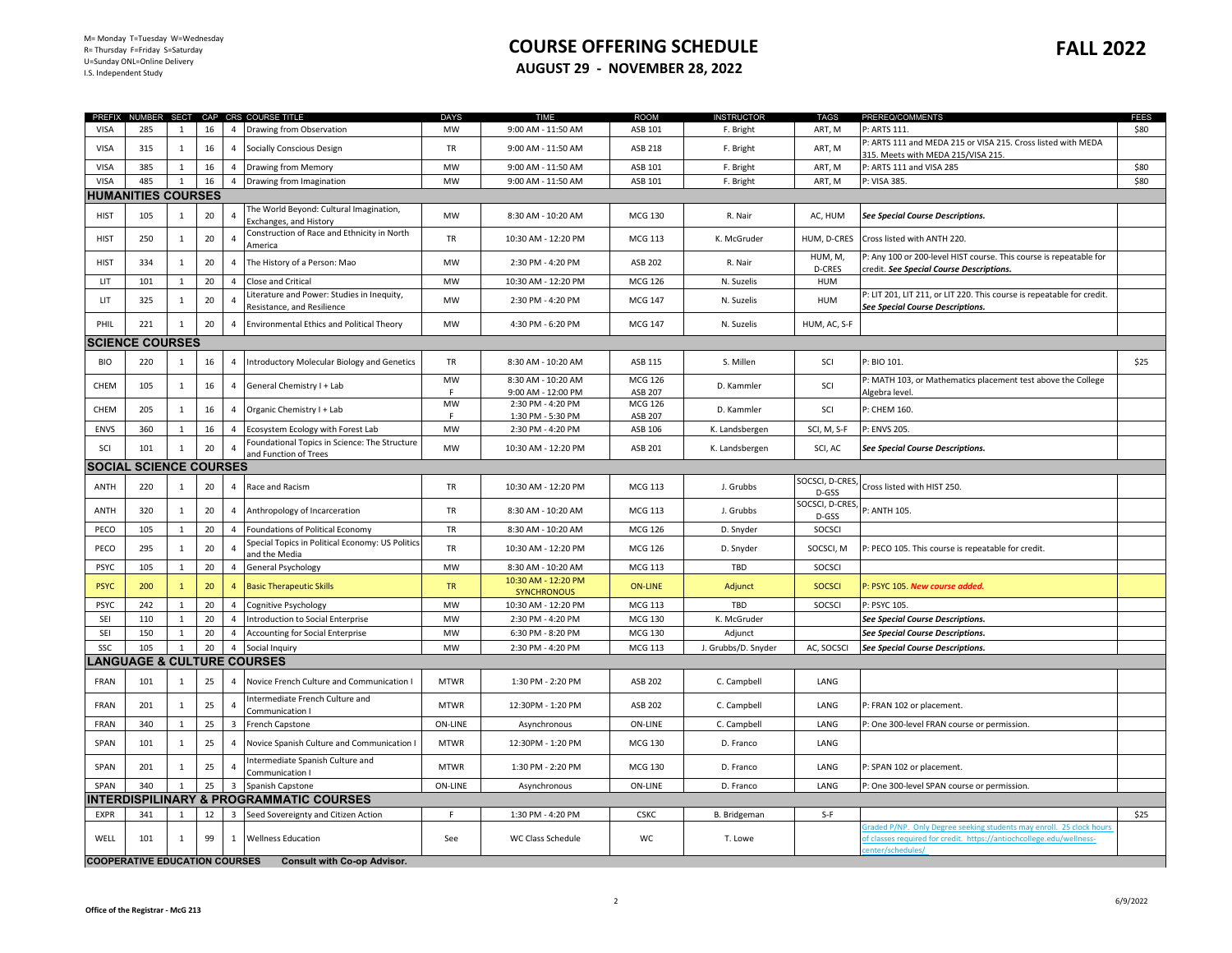## **COURSE OFFERING SCHEDULE AUGUST 29 - NOVEMBER 28, 2022**

|             |                                      |              |    |                         | PREFIX NUMBER SECT CAP CRS COURSE TITLE                                | <b>DAYS</b>    | <b>TIME</b>                               | <b>ROOM</b>               | <b>INSTRUCTOR</b>   | <b>TAGS</b>             | PREREQ/COMMENTS                                                                                                                            | <b>FEES</b> |
|-------------|--------------------------------------|--------------|----|-------------------------|------------------------------------------------------------------------|----------------|-------------------------------------------|---------------------------|---------------------|-------------------------|--------------------------------------------------------------------------------------------------------------------------------------------|-------------|
| <b>VISA</b> | 285                                  | $\mathbf{1}$ | 16 | $\overline{4}$          | Drawing from Observation                                               | <b>MW</b>      | 9:00 AM - 11:50 AM                        | ASB 101                   | F. Bright           | ART, M                  | P: ARTS 111.                                                                                                                               | \$80        |
| <b>VISA</b> | 315                                  | $\mathbf{1}$ | 16 | $\overline{4}$          | Socially Conscious Design                                              | TR             | 9:00 AM - 11:50 AM                        | ASB 218                   | F. Bright           | ART, M                  | : ARTS 111 and MEDA 215 or VISA 215. Cross listed with MEDA                                                                                |             |
| <b>VISA</b> | 385                                  | $\mathbf{1}$ | 16 | $\overline{4}$          | Drawing from Memory                                                    | <b>MW</b>      | 9:00 AM - 11:50 AM                        | ASB 101                   | F. Bright           | ART, M                  | 315. Meets with MEDA 215/VISA 215.<br>P: ARTS 111 and VISA 285                                                                             | \$80        |
| <b>VISA</b> | 485                                  | $\mathbf{1}$ | 16 | $\overline{4}$          | Drawing from Imagination                                               | <b>MW</b>      | 9:00 AM - 11:50 AM                        | ASB 101                   | F. Bright           | ART, M                  | P: VISA 385.                                                                                                                               | \$80        |
|             | <b>HUMANITIES COURSES</b>            |              |    |                         |                                                                        |                |                                           |                           |                     |                         |                                                                                                                                            |             |
| <b>HIST</b> | 105                                  | $\mathbf{1}$ | 20 | $\overline{4}$          | The World Beyond: Cultural Imagination,                                | <b>MW</b>      | 8:30 AM - 10:20 AM                        | <b>MCG 130</b>            | R. Nair             | AC, HUM                 | See Special Course Descriptions.                                                                                                           |             |
| <b>HIST</b> | 250                                  | $\mathbf{1}$ | 20 | $\overline{4}$          | Exchanges, and History<br>Construction of Race and Ethnicity in North  | TR             | 10:30 AM - 12:20 PM                       | MCG 113                   | K. McGruder         | HUM, D-CRES             | Cross listed with ANTH 220.                                                                                                                |             |
| <b>HIST</b> | 334                                  | $\mathbf{1}$ | 20 | 4                       | America<br>The History of a Person: Mao                                | <b>MW</b>      | 2:30 PM - 4:20 PM                         | ASB 202                   | R. Nair             | HUM, M,                 | P: Any 100 or 200-level HIST course. This course is repeatable for                                                                         |             |
| LIT         | 101                                  | $\mathbf{1}$ | 20 | $\overline{4}$          | Close and Critical                                                     | MW             | 10:30 AM - 12:20 PM                       | <b>MCG 126</b>            | N. Suzelis          | D-CRES<br>HUM           | credit. See Special Course Descriptions.                                                                                                   |             |
|             |                                      |              |    |                         | Literature and Power: Studies in Inequity,                             |                |                                           |                           |                     |                         | P: LIT 201, LIT 211, or LIT 220. This course is repeatable for credit.                                                                     |             |
| LIT         | 325                                  | $\mathbf{1}$ | 20 | $\overline{4}$          | Resistance, and Resilience                                             | <b>MW</b>      | 2:30 PM - 4:20 PM                         | <b>MCG 147</b>            | N. Suzelis          | <b>HUM</b>              | See Special Course Descriptions.                                                                                                           |             |
| PHIL        | 221                                  | 1            | 20 | $\overline{4}$          | <b>Environmental Ethics and Political Theory</b>                       | <b>MW</b>      | 4:30 PM - 6:20 PM                         | <b>MCG 147</b>            | N. Suzelis          | HUM, AC, S-F            |                                                                                                                                            |             |
|             | <b>SCIENCE COURSES</b>               |              |    |                         |                                                                        |                |                                           |                           |                     |                         |                                                                                                                                            |             |
| <b>BIO</b>  | 220                                  | $\mathbf{1}$ | 16 | $\overline{4}$          | Introductory Molecular Biology and Genetics                            | TR             | 8:30 AM - 10:20 AM                        | ASB 115                   | S. Millen           | SCI                     | P: BIO 101.                                                                                                                                | \$25        |
| CHEM        | 105                                  | 1            | 16 | 4                       | General Chemistry I + Lab                                              | <b>MW</b>      | 8:30 AM - 10:20 AM<br>9:00 AM - 12:00 PM  | <b>MCG 126</b><br>ASB 207 | D. Kammler          | SCI                     | P: MATH 103, or Mathematics placement test above the College<br>Algebra level.                                                             |             |
| CHEM        | 205                                  | $\mathbf{1}$ | 16 | $\overline{4}$          | Organic Chemistry I + Lab                                              | <b>MW</b><br>F | 2:30 PM - 4:20 PM<br>1:30 PM - 5:30 PM    | <b>MCG 126</b><br>ASB 207 | D. Kammler          | SCI                     | P: CHEM 160.                                                                                                                               |             |
| <b>ENVS</b> | 360                                  | 1            | 16 | $\overline{a}$          | Ecosystem Ecology with Forest Lab                                      | MW             | 2:30 PM - 4:20 PM                         | ASB 106                   | K. Landsbergen      | SCI, M, S-F             | P: ENVS 205.                                                                                                                               |             |
| SCI         | 101                                  | $\mathbf{1}$ | 20 |                         | Foundational Topics in Science: The Structure<br>and Function of Trees | <b>MW</b>      | 10:30 AM - 12:20 PM                       | ASB 201                   | K. Landsbergen      | SCI, AC                 | See Special Course Descriptions.                                                                                                           |             |
|             | <b>SOCIAL SCIENCE COURSES</b>        |              |    |                         |                                                                        |                |                                           |                           |                     |                         |                                                                                                                                            |             |
| ANTH        | 220                                  | $\mathbf{1}$ | 20 | $\overline{4}$          | Race and Racism                                                        | TR             | 10:30 AM - 12:20 PM                       | MCG 113                   | J. Grubbs           | SOCSCI, D-CRES<br>D-GSS | Cross listed with HIST 250.                                                                                                                |             |
| ANTH        | 320                                  | 1            | 20 | $\overline{4}$          | Anthropology of Incarceration                                          | TR             | 8:30 AM - 10:20 AM                        | <b>MCG 113</b>            | J. Grubbs           | SOCSCI, D-CRES<br>D-GSS | P: ANTH 105.                                                                                                                               |             |
| PECO        | 105                                  | 1            | 20 | $\overline{4}$          | Foundations of Political Economy                                       | TR             | 8:30 AM - 10:20 AM                        | MCG 126                   | D. Snyder           | SOCSCI                  |                                                                                                                                            |             |
| PECO        | 295                                  | 1            | 20 | $\overline{4}$          | Special Topics in Political Economy: US Politics<br>and the Media      | TR             | 10:30 AM - 12:20 PM                       | <b>MCG 126</b>            | D. Snyder           | SOCSCI, M               | P: PECO 105. This course is repeatable for credit.                                                                                         |             |
| <b>PSYC</b> | 105                                  | $\mathbf{1}$ | 20 | 4                       | General Psychology                                                     | MW             | 8:30 AM - 10:20 AM                        | MCG 113                   | TBD                 | SOCSCI                  |                                                                                                                                            |             |
| <b>PSYC</b> | 200                                  | $\mathbf{1}$ | 20 | $\overline{4}$          | <b>Basic Therapeutic Skills</b>                                        | <b>TR</b>      | 10:30 AM - 12:20 PM<br><b>SYNCHRONOUS</b> | <b>ON-LINE</b>            | Adjunct             | <b>SOCSCI</b>           | P: PSYC 105. New course added.                                                                                                             |             |
| <b>PSYC</b> | 242                                  | 1            | 20 | $\overline{4}$          | Cognitive Psychology                                                   | MW             | 10:30 AM - 12:20 PM                       | <b>MCG 113</b>            | TBD                 | SOCSCI                  | P: PSYC 105.                                                                                                                               |             |
| SEI         | 110                                  | $\mathbf{1}$ | 20 | $\overline{4}$          | Introduction to Social Enterprise                                      | MW             | 2:30 PM - 4:20 PM                         | <b>MCG 130</b>            | K. McGruder         |                         | See Special Course Descriptions.                                                                                                           |             |
| SEI         | 150                                  | $\mathbf{1}$ | 20 | $\overline{4}$          | Accounting for Social Enterprise                                       | MW             | 6:30 PM - 8:20 PM                         | <b>MCG 130</b>            | Adjunct             |                         | See Special Course Descriptions.                                                                                                           |             |
| SSC         | 105                                  | $\mathbf{1}$ | 20 | $\overline{4}$          | Social Inquiry                                                         | MW             | 2:30 PM - 4:20 PM                         | <b>MCG 113</b>            | J. Grubbs/D. Snyder | AC, SOCSCI              | See Special Course Descriptions.                                                                                                           |             |
|             |                                      |              |    |                         | <b>LANGUAGE &amp; CULTURE COURSES</b>                                  |                |                                           |                           |                     |                         |                                                                                                                                            |             |
| FRAN        | 101                                  | 1            | 25 | $\overline{4}$          | Novice French Culture and Communication                                | <b>MTWR</b>    | 1:30 PM - 2:20 PM                         | ASB 202                   | C. Campbell         | LANG                    |                                                                                                                                            |             |
| FRAN        | 201                                  | $\mathbf{1}$ | 25 | $\overline{4}$          | Intermediate French Culture and<br>Communication I                     | <b>MTWR</b>    | 12:30PM - 1:20 PM                         | ASB 202                   | C. Campbell         | LANG                    | P: FRAN 102 or placement.                                                                                                                  |             |
| FRAN        | 340                                  | $\mathbf{1}$ | 25 | $\overline{\mathbf{3}}$ | French Capstone                                                        | ON-LINE        | Asynchronous                              | ON-LINE                   | C. Campbell         | LANG                    | P: One 300-level FRAN course or permission.                                                                                                |             |
| SPAN        | 101                                  | $\mathbf{1}$ | 25 | $\overline{4}$          | Novice Spanish Culture and Communication I                             | <b>MTWR</b>    | 12:30PM - 1:20 PM                         | <b>MCG 130</b>            | D. Franco           | LANG                    |                                                                                                                                            |             |
| SPAN        | 201                                  | $\mathbf{1}$ | 25 | $\overline{a}$          | Intermediate Spanish Culture and<br>Communication I                    | <b>MTWR</b>    | 1:30 PM - 2:20 PM                         | <b>MCG 130</b>            | D. Franco           | LANG                    | P: SPAN 102 or placement.                                                                                                                  |             |
| <b>SPAN</b> | 340                                  |              | 25 | $\overline{\mathbf{3}}$ | Spanish Capstone                                                       | <b>ON-LINE</b> | Asynchronous                              | <b>ON-LINE</b>            | D. Franco           | LANG                    | P: One 300-level SPAN course or permission.                                                                                                |             |
|             |                                      |              |    |                         | INTERDISPILINARY & PROGRAMMATIC COURSES                                |                |                                           |                           |                     |                         |                                                                                                                                            |             |
| EXPR        | 341                                  | 1            | 12 | $\overline{\mathbf{3}}$ | Seed Sovereignty and Citizen Action                                    | F              | 1:30 PM - 4:20 PM                         | <b>CSKC</b>               | <b>B.</b> Bridgeman | S-F                     |                                                                                                                                            | \$25        |
| WELL        | 101                                  | 1            | 99 | 1                       | <b>Wellness Education</b>                                              | See            | WC Class Schedule                         | WC                        | T. Lowe             |                         | raded P/NP. Only Degree seeking students may enroll. 25 clock hour<br>of classes required for credit. https://antiochcollege.edu/wellness- |             |
|             | <b>COOPERATIVE EDUCATION COURSES</b> |              |    |                         | <b>Consult with Co-op Advisor.</b>                                     |                |                                           |                           |                     |                         | enter/schedules/                                                                                                                           |             |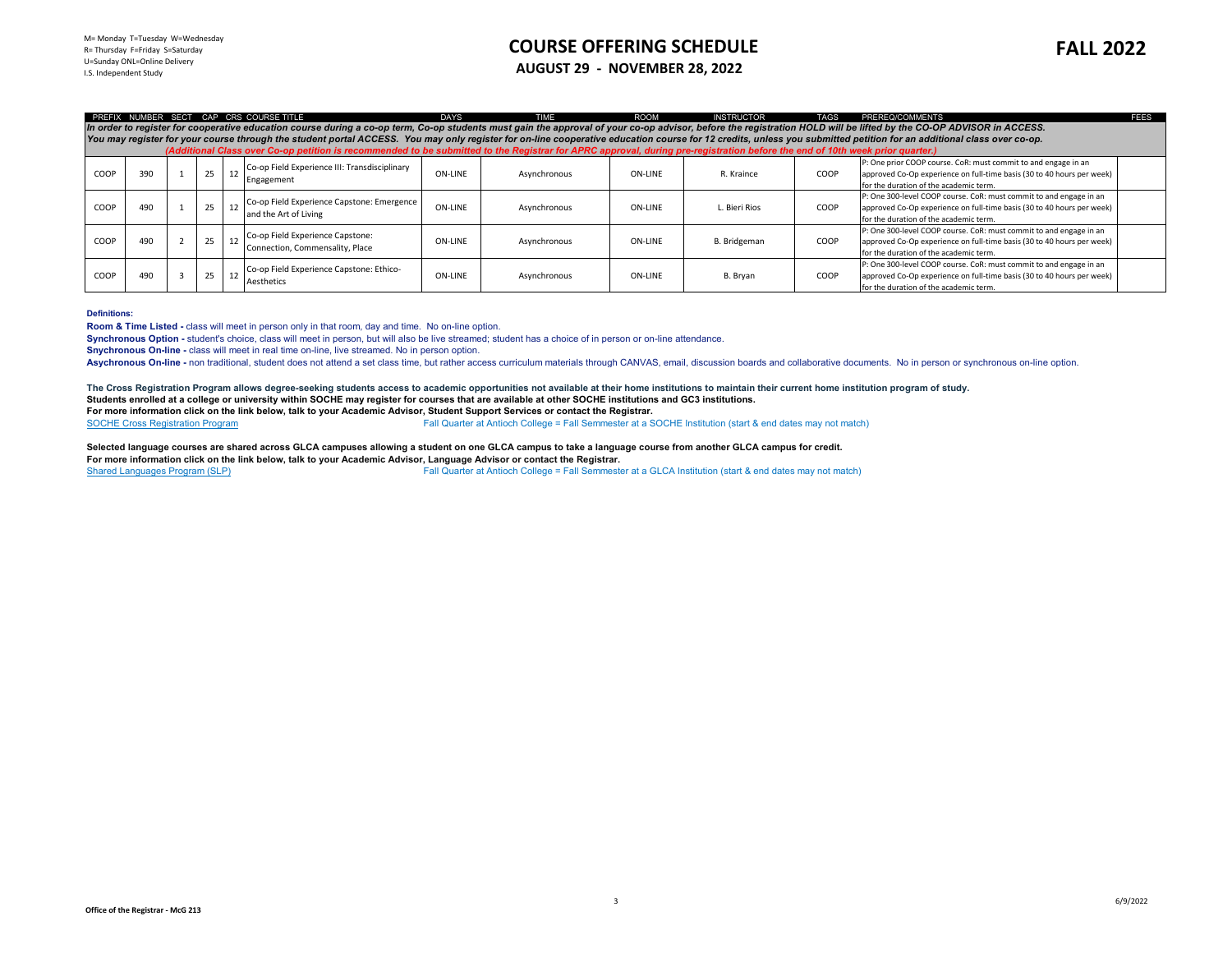## **COURSE OFFERING SCHEDULE AUGUST 29 - NOVEMBER 28, 2022**

approved Co-Op experience on full-time basis (30 to 40 hours per week)

for the duration of the academic term.

|      |                                                                                                                                                                                                                                                                                                                                                                                                                                                                                                                                                                                                                             |  |    |    | PREFIX NUMBER SECT CAP CRS COURSE TITLE                             | <b>DAYS</b>    | TIME         | <b>ROOM</b> | <b>INSTRUCTOR</b> | <b>TAGS</b> | PREREQ/COMMENTS                                                                                                                                                                        | <b>FFFS</b> |
|------|-----------------------------------------------------------------------------------------------------------------------------------------------------------------------------------------------------------------------------------------------------------------------------------------------------------------------------------------------------------------------------------------------------------------------------------------------------------------------------------------------------------------------------------------------------------------------------------------------------------------------------|--|----|----|---------------------------------------------------------------------|----------------|--------------|-------------|-------------------|-------------|----------------------------------------------------------------------------------------------------------------------------------------------------------------------------------------|-------------|
|      | In order to register for cooperative education course during a co-op term. Co-op students must gain the approval of your co-op advisor, before the registration HOLD will be lifted by the CO-OP ADVISOR in ACCESS.<br>You may register for your course through the student portal ACCESS. You may only register for on-line cooperative education course for 12 credits, unless you submitted petition for an additional class over co-op.<br>(Additional Class over Co-op petition is recommended to be submitted to the Registrar for APRC approval, during pre-registration before the end of 10th week prior quarter.) |  |    |    |                                                                     |                |              |             |                   |             |                                                                                                                                                                                        |             |
|      |                                                                                                                                                                                                                                                                                                                                                                                                                                                                                                                                                                                                                             |  |    |    |                                                                     |                |              |             |                   |             |                                                                                                                                                                                        |             |
| COOP | 390                                                                                                                                                                                                                                                                                                                                                                                                                                                                                                                                                                                                                         |  | 25 | 12 | Co-op Field Experience III: Transdisciplinary<br>Engagement         | ON-LINE        | Asynchronous | ON-LINE     | R. Kraince        | COOP        | P: One prior COOP course. CoR: must commit to and engage in an<br>approved Co-Op experience on full-time basis (30 to 40 hours per week)<br>for the duration of the academic term.     |             |
| COOP | 490                                                                                                                                                                                                                                                                                                                                                                                                                                                                                                                                                                                                                         |  | 25 |    | Co-op Field Experience Capstone: Emergence<br>and the Art of Living | <b>ON-LINE</b> | Asynchronous | ON-LINE     | L. Bieri Rios     | COOP        | P: One 300-level COOP course. CoR: must commit to and engage in an<br>approved Co-Op experience on full-time basis (30 to 40 hours per week)<br>for the duration of the academic term. |             |
| COOP | 190                                                                                                                                                                                                                                                                                                                                                                                                                                                                                                                                                                                                                         |  | 25 |    | Co-op Field Experience Capstone:<br>Connection, Commensality, Place | <b>ON-LINE</b> | Asynchronous | ON-LINE     | B. Bridgeman      | COOP        | P: One 300-level COOP course. CoR: must commit to and engage in an<br>approved Co-Op experience on full-time basis (30 to 40 hours per week)<br>for the duration of the academic term. |             |
|      |                                                                                                                                                                                                                                                                                                                                                                                                                                                                                                                                                                                                                             |  |    |    | .                                                                   |                |              |             |                   |             | P: One 300-level COOP course. CoR: must commit to and engage in an                                                                                                                     |             |

## **Definitions:**

**Room & Time Listed -** class will meet in person only in that room, day and time. No on-line option.

**Synchronous Option -** student's choice, class will meet in person, but will also be live streamed; student has a choice of in person or on-line attendance.

**Snychronous On-line -** class will meet in real time on-line, live streamed. No in person option.

COOP 490 3 25 12 Co-op Field Experience Capstone: Ethico-

Asychronous On-line - non traditional, student does not attend a set class time, but rather access curriculum materials through CANVAS, email, discussion boards and collaborative documents. No in person or synchronous on-l

The Cross Registration Program allows degree-seeking students access to academic opportunities not available at their home institutions to maintain their current home institution program of study. **Students enrolled at a college or university within SOCHE may register for courses that are available at other SOCHE institutions and GC3 institutions. For more information click on the link below, talk to your Academic Advisor, Student Support Services or contact the Registrar.**

Aesthetics ON-LINE Asynchronous ON-LINE B. Bryan COOP

Fall Quarter at Antioch College = Fall Semmester at a SOCHE Institution (start & end dates may not match)

Selected language courses are shared across GLCA campuses allowing a student on one GLCA campus to take a language course from another GLCA campus for credit. **For more information click on the link below, talk to your Academic Advisor, Language Advisor or contact the Registrar.** Fall Quarter at Antioch College = Fall Semmester at a GLCA Institution (start & end dates may not match)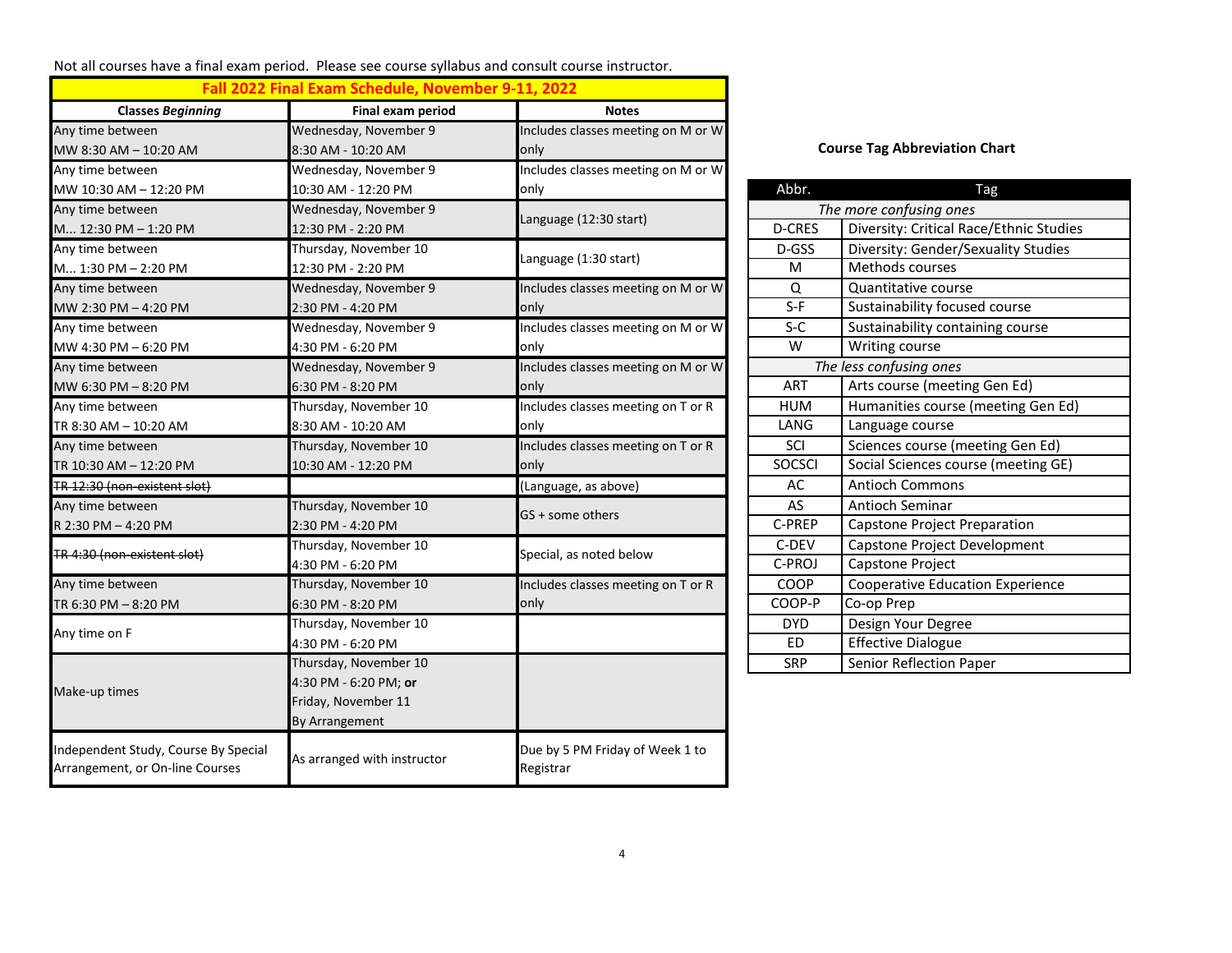Not all courses have a final exam period. Please see course syllabus and consult course instructor.

|                                                                         | Fall 2022 Final Exam Schedule, November 9-11, 2022 |                                              |                                      |                                         |  |  |
|-------------------------------------------------------------------------|----------------------------------------------------|----------------------------------------------|--------------------------------------|-----------------------------------------|--|--|
| <b>Classes Beginning</b>                                                | Final exam period                                  | <b>Notes</b>                                 |                                      |                                         |  |  |
| Any time between                                                        | Wednesday, November 9                              | Includes classes meeting on M or W           | <b>Course Tag Abbreviation Chart</b> |                                         |  |  |
| MW 8:30 AM - 10:20 AM                                                   | 8:30 AM - 10:20 AM                                 | only                                         |                                      |                                         |  |  |
| Any time between                                                        | Wednesday, November 9                              | Includes classes meeting on M or W           |                                      |                                         |  |  |
| MW 10:30 AM - 12:20 PM                                                  | 10:30 AM - 12:20 PM                                | only                                         | Abbr.                                | Tag                                     |  |  |
| Any time between                                                        | Wednesday, November 9                              | Language (12:30 start)                       |                                      | The more confusing ones                 |  |  |
| M 12:30 PM - 1:20 PM                                                    | 12:30 PM - 2:20 PM                                 |                                              | D-CRES                               | Diversity: Critical Race/Ethnic Studies |  |  |
| Any time between                                                        | Thursday, November 10                              |                                              | D-GSS                                | Diversity: Gender/Sexuality Studies     |  |  |
| M 1:30 PM - 2:20 PM                                                     | 12:30 PM - 2:20 PM                                 | Language (1:30 start)                        | M                                    | Methods courses                         |  |  |
| Any time between                                                        | Wednesday, November 9                              | Includes classes meeting on M or W           | Q                                    | Quantitative course                     |  |  |
| MW 2:30 PM - 4:20 PM                                                    | 2:30 PM - 4:20 PM                                  | only                                         | $S-F$                                | Sustainability focused course           |  |  |
| Any time between                                                        | Wednesday, November 9                              | Includes classes meeting on M or W           | $S-C$                                | Sustainability containing course        |  |  |
| MW 4:30 PM - 6:20 PM                                                    | 4:30 PM - 6:20 PM                                  | only                                         | W                                    | Writing course                          |  |  |
| Any time between                                                        | Wednesday, November 9                              | Includes classes meeting on M or W           |                                      | The less confusing ones                 |  |  |
| MW 6:30 PM - 8:20 PM                                                    | 6:30 PM - 8:20 PM                                  | only                                         | ART                                  | Arts course (meeting Gen Ed)            |  |  |
| Any time between                                                        | Thursday, November 10                              | Includes classes meeting on T or R           | <b>HUM</b>                           | Humanities course (meeting Gen Ed)      |  |  |
| TR 8:30 AM - 10:20 AM                                                   | 8:30 AM - 10:20 AM                                 | only                                         | LANG                                 | Language course                         |  |  |
| Any time between                                                        | Thursday, November 10                              | Includes classes meeting on T or R           | SCI                                  | Sciences course (meeting Gen Ed)        |  |  |
| TR 10:30 AM - 12:20 PM                                                  | 10:30 AM - 12:20 PM                                | only                                         | <b>SOCSCI</b>                        | Social Sciences course (meeting GE)     |  |  |
| TR 12:30 (non-existent slot)                                            |                                                    | (Language, as above)                         | AC                                   | <b>Antioch Commons</b>                  |  |  |
| Any time between                                                        | Thursday, November 10                              |                                              | AS                                   | Antioch Seminar                         |  |  |
| R 2:30 PM - 4:20 PM                                                     | 2:30 PM - 4:20 PM                                  | GS + some others                             | C-PREP                               | Capstone Project Preparation            |  |  |
| TR 4:30 (non-existent slot)                                             | Thursday, November 10                              |                                              | C-DEV                                | Capstone Project Development            |  |  |
|                                                                         | 4:30 PM - 6:20 PM                                  | Special, as noted below                      | C-PROJ                               | Capstone Project                        |  |  |
| Any time between                                                        | Thursday, November 10                              | Includes classes meeting on T or R           | COOP                                 | <b>Cooperative Education Experience</b> |  |  |
| TR 6:30 PM - 8:20 PM                                                    | 6:30 PM - 8:20 PM                                  | only                                         | COOP-P                               | Co-op Prep                              |  |  |
|                                                                         | Thursday, November 10                              |                                              | <b>DYD</b>                           | Design Your Degree                      |  |  |
| Any time on F                                                           | 4:30 PM - 6:20 PM                                  |                                              | <b>ED</b>                            | <b>Effective Dialogue</b>               |  |  |
|                                                                         | Thursday, November 10                              |                                              | <b>SRP</b>                           | Senior Reflection Paper                 |  |  |
|                                                                         | 4:30 PM - 6:20 PM; or                              |                                              |                                      |                                         |  |  |
| Make-up times                                                           | Friday, November 11                                |                                              |                                      |                                         |  |  |
|                                                                         | By Arrangement                                     |                                              |                                      |                                         |  |  |
| Independent Study, Course By Special<br>Arrangement, or On-line Courses | As arranged with instructor                        | Due by 5 PM Friday of Week 1 to<br>Registrar |                                      |                                         |  |  |

## **Course Tag Abbreviation Chart**

| Abbr.         | Tag                                     |  |  |  |  |  |
|---------------|-----------------------------------------|--|--|--|--|--|
|               | The more confusing ones                 |  |  |  |  |  |
| <b>D-CRES</b> | Diversity: Critical Race/Ethnic Studies |  |  |  |  |  |
| D-GSS         | Diversity: Gender/Sexuality Studies     |  |  |  |  |  |
| M             | <b>Methods courses</b>                  |  |  |  |  |  |
| Q             | Quantitative course                     |  |  |  |  |  |
| $S-F$         | Sustainability focused course           |  |  |  |  |  |
| $S-C$         | Sustainability containing course        |  |  |  |  |  |
| W             | Writing course                          |  |  |  |  |  |
|               | The less confusing ones                 |  |  |  |  |  |
| ART           | Arts course (meeting Gen Ed)            |  |  |  |  |  |
| <b>HUM</b>    | Humanities course (meeting Gen Ed)      |  |  |  |  |  |
| LANG          | Language course                         |  |  |  |  |  |
| SCI           | Sciences course (meeting Gen Ed)        |  |  |  |  |  |
| <b>SOCSCI</b> | Social Sciences course (meeting GE)     |  |  |  |  |  |
| <b>AC</b>     | <b>Antioch Commons</b>                  |  |  |  |  |  |
| AS            | Antioch Seminar                         |  |  |  |  |  |
| C-PREP        | Capstone Project Preparation            |  |  |  |  |  |
| C-DEV         | Capstone Project Development            |  |  |  |  |  |
| C-PROJ        | Capstone Project                        |  |  |  |  |  |
| COOP          | <b>Cooperative Education Experience</b> |  |  |  |  |  |
| COOP-P        | Co-op Prep                              |  |  |  |  |  |
| <b>DYD</b>    | Design Your Degree                      |  |  |  |  |  |
| ED            | <b>Effective Dialogue</b>               |  |  |  |  |  |
| <b>SRP</b>    | Senior Reflection Paper                 |  |  |  |  |  |